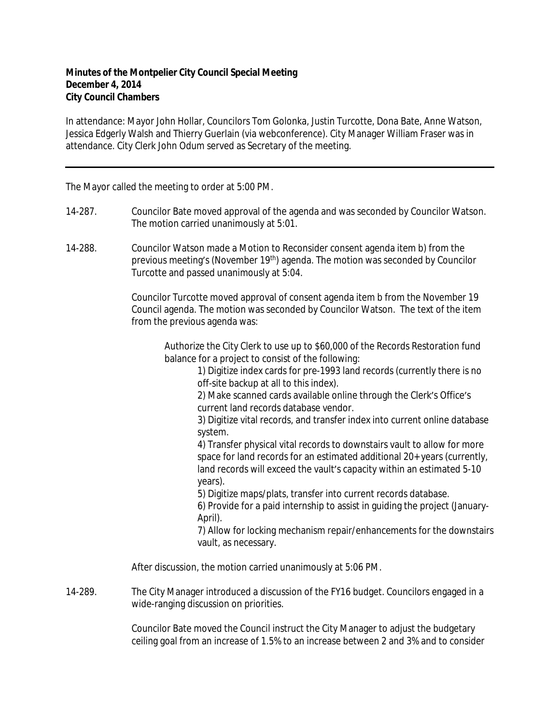## **Minutes of the Montpelier City Council Special Meeting December 4, 2014 City Council Chambers**

In attendance: Mayor John Hollar, Councilors Tom Golonka, Justin Turcotte, Dona Bate, Anne Watson, Jessica Edgerly Walsh and Thierry Guerlain (via webconference). City Manager William Fraser was in attendance. City Clerk John Odum served as Secretary of the meeting.

The Mayor called the meeting to order at 5:00 PM.

- 14-287. Councilor Bate moved approval of the agenda and was seconded by Councilor Watson. The motion carried unanimously at 5:01.
- 14-288. Councilor Watson made a Motion to Reconsider consent agenda item b) from the previous meeting's (November 19<sup>th</sup>) agenda. The motion was seconded by Councilor Turcotte and passed unanimously at 5:04.

Councilor Turcotte moved approval of consent agenda item b from the November 19 Council agenda. The motion was seconded by Councilor Watson. The text of the item from the previous agenda was:

Authorize the City Clerk to use up to \$60,000 of the Records Restoration fund balance for a project to consist of the following:

1) Digitize index cards for pre-1993 land records (currently there is no off-site backup at all to this index).

2) Make scanned cards available online through the Clerk's Office's current land records database vendor.

3) Digitize vital records, and transfer index into current online database system.

4) Transfer physical vital records to downstairs vault to allow for more space for land records for an estimated additional 20+ years (currently, land records will exceed the vault's capacity within an estimated 5-10 years).

5) Digitize maps/plats, transfer into current records database.

6) Provide for a paid internship to assist in guiding the project (January-April).

7) Allow for locking mechanism repair/enhancements for the downstairs vault, as necessary.

After discussion, the motion carried unanimously at 5:06 PM.

14-289. The City Manager introduced a discussion of the FY16 budget. Councilors engaged in a wide-ranging discussion on priorities.

> Councilor Bate moved the Council instruct the City Manager to adjust the budgetary ceiling goal from an increase of 1.5% to an increase between 2 and 3% and to consider